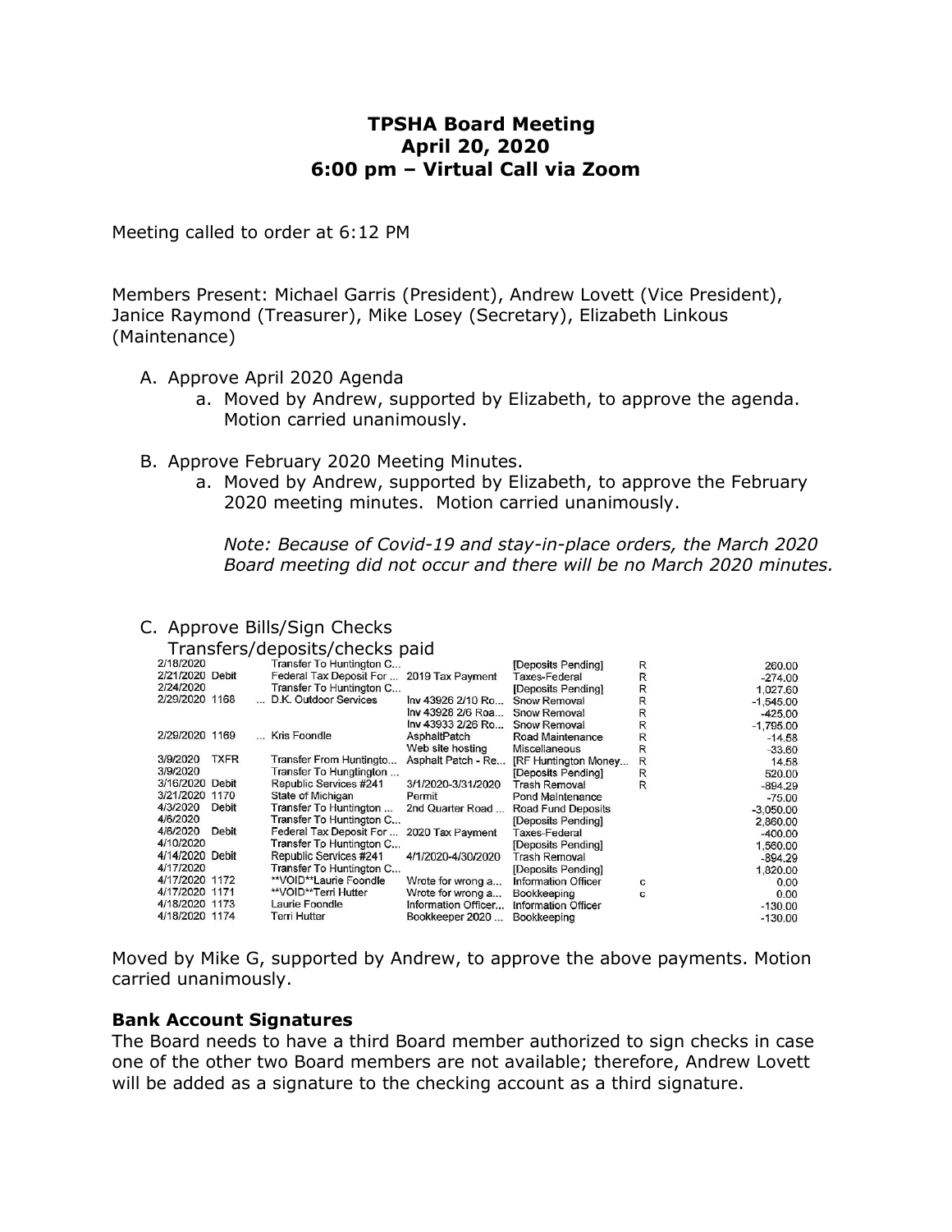# **TPSHA Board Meeting April 20, 2020 6:00 pm – Virtual Call via Zoom**

Meeting called to order at 6:12 PM

Members Present: Michael Garris (President), Andrew Lovett (Vice President), Janice Raymond (Treasurer), Mike Losey (Secretary), Elizabeth Linkous (Maintenance)

- A. Approve April 2020 Agenda
	- a. Moved by Andrew, supported by Elizabeth, to approve the agenda. Motion carried unanimously.
- B. Approve February 2020 Meeting Minutes.
	- a. Moved by Andrew, supported by Elizabeth, to approve the February 2020 meeting minutes. Motion carried unanimously.

*Note: Because of Covid-19 and stay-in-place orders, the March 2020 Board meeting did not occur and there will be no March 2020 minutes.*

#### C. Approve Bills/Sign Checks

#### Transfers/deposits/checks paid

| 2/18/2020         | Transfer To Huntington C                  |                     | [Deposits Pending]   | R | 260.00      |
|-------------------|-------------------------------------------|---------------------|----------------------|---|-------------|
| 2/21/2020 Debit   | Federal Tax Deposit For  2019 Tax Payment |                     | Taxes-Federal        | R | $-274.00$   |
| 2/24/2020         | Transfer To Huntington C                  |                     | [Deposits Pending]   | R | 1,027.60    |
| 2/29/2020 1168    | D.K. Outdoor Services                     | Inv 43926 2/10 Ro   | Snow Removal         | R | $-1,545.00$ |
|                   |                                           | Inv 43928 2/6 Roa   | Snow Removal         | R | $-425.00$   |
|                   |                                           | Inv 43933 2/26 Ro   | Snow Removal         | R | $-1,795.00$ |
| 2/29/2020 1169    | Kris Foondle                              | AsphaltPatch        | Road Maintenance     | R | $-14.58$    |
|                   |                                           | Web site hosting    | Miscellaneous        | R | $-33.60$    |
| 3/9/2020<br>TXFR  | Transfer From Huntingto                   | Asphalt Patch - Re  | [RF Huntington Money | R | 14.58       |
| 3/9/2020          | Transfer To Hungtington                   |                     | [Deposits Pending]   | R | 520.00      |
| 3/16/2020 Debit   | Republic Services #241                    | 3/1/2020-3/31/2020  | <b>Trash Removal</b> | R | $-894.29$   |
| 3/21/2020<br>1170 | State of Michigan                         | Permit              | Pond Maintenance     |   | $-75.00$    |
| 4/3/2020<br>Debit | Transfer To Huntington                    | 2nd Quarter Road    | Road Fund Deposits   |   | $-3.050.00$ |
| 4/6/2020          | Transfer To Huntington C                  |                     | [Deposits Pending]   |   | 2,860.00    |
| 4/6/2020<br>Debit | Federal Tax Deposit For                   | 2020 Tax Payment    | Taxes-Federal        |   | $-400.00$   |
| 4/10/2020         | Transfer To Huntington C                  |                     | [Deposits Pending]   |   | 1,560.00    |
| 4/14/2020 Debit   | Republic Services #241                    | 4/1/2020-4/30/2020  | <b>Trash Removal</b> |   | $-894.29$   |
| 4/17/2020         | Transfer To Huntington C                  |                     | [Deposits Pending]   |   | 1,820.00    |
| 4/17/2020 1172    | **VOID**Laurie Foondle                    | Wrote for wrong a   | Information Officer  | с | 0.00        |
| 4/17/2020 1171    | **VOID**Terri Hutter                      | Wrote for wrong a   | Bookkeeping          | c | 0.00        |
| 4/18/2020 1173    | Laurie Foondle                            | Information Officer | Information Officer  |   | $-130.00$   |
| 4/18/2020 1174    | Terri Hutter                              | Bookkeeper 2020     | Bookkeeping          |   | $-130.00$   |

Moved by Mike G, supported by Andrew, to approve the above payments. Motion carried unanimously.

#### **Bank Account Signatures**

The Board needs to have a third Board member authorized to sign checks in case one of the other two Board members are not available; therefore, Andrew Lovett will be added as a signature to the checking account as a third signature.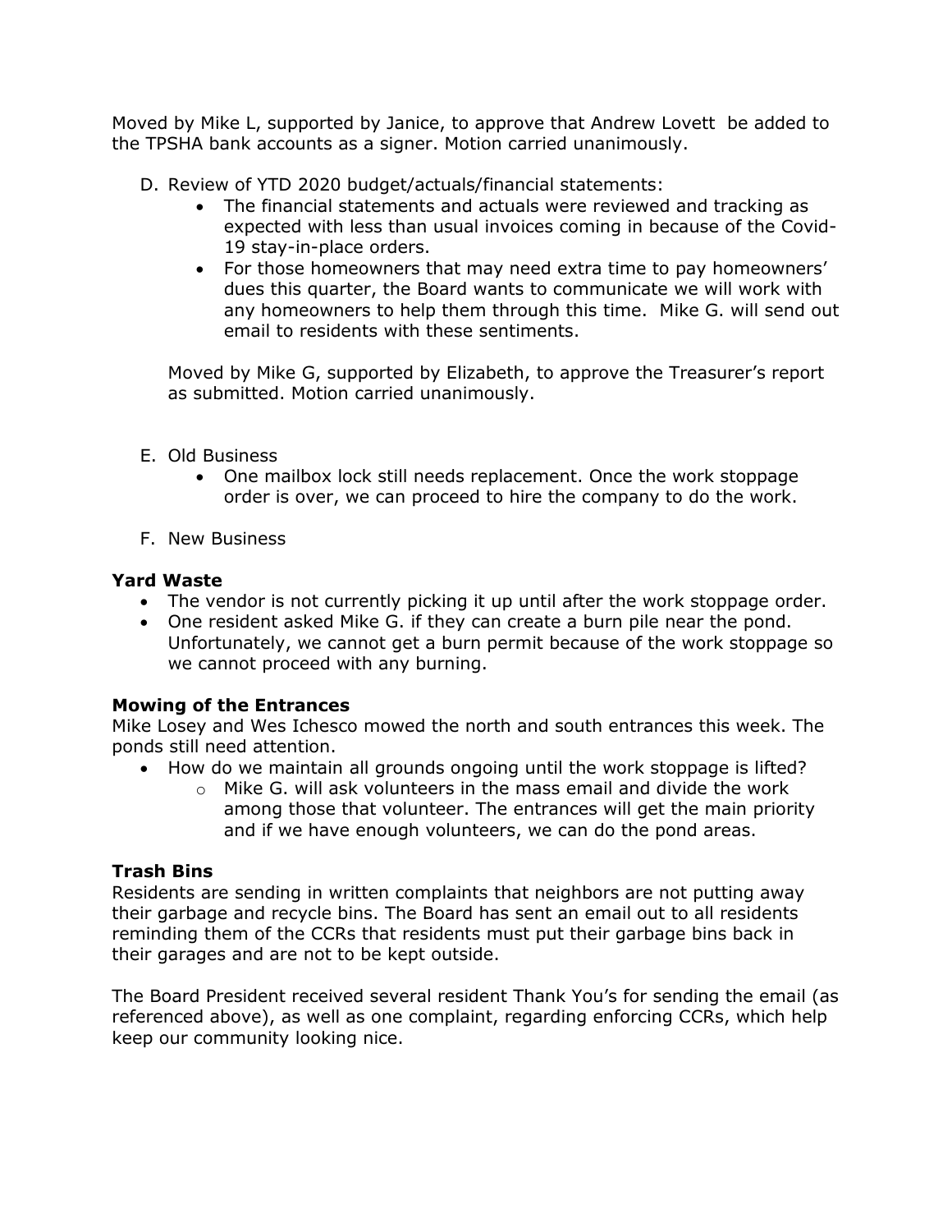Moved by Mike L, supported by Janice, to approve that Andrew Lovett be added to the TPSHA bank accounts as a signer. Motion carried unanimously.

- D. Review of YTD 2020 budget/actuals/financial statements:
	- The financial statements and actuals were reviewed and tracking as expected with less than usual invoices coming in because of the Covid-19 stay-in-place orders.
	- For those homeowners that may need extra time to pay homeowners' dues this quarter, the Board wants to communicate we will work with any homeowners to help them through this time. Mike G. will send out email to residents with these sentiments.

Moved by Mike G, supported by Elizabeth, to approve the Treasurer's report as submitted. Motion carried unanimously.

- E. Old Business
	- One mailbox lock still needs replacement. Once the work stoppage order is over, we can proceed to hire the company to do the work.
- F. New Business

# **Yard Waste**

- The vendor is not currently picking it up until after the work stoppage order.
- One resident asked Mike G. if they can create a burn pile near the pond. Unfortunately, we cannot get a burn permit because of the work stoppage so we cannot proceed with any burning.

# **Mowing of the Entrances**

Mike Losey and Wes Ichesco mowed the north and south entrances this week. The ponds still need attention.

- How do we maintain all grounds ongoing until the work stoppage is lifted?
	- $\circ$  Mike G, will ask volunteers in the mass email and divide the work among those that volunteer. The entrances will get the main priority and if we have enough volunteers, we can do the pond areas.

# **Trash Bins**

Residents are sending in written complaints that neighbors are not putting away their garbage and recycle bins. The Board has sent an email out to all residents reminding them of the CCRs that residents must put their garbage bins back in their garages and are not to be kept outside.

The Board President received several resident Thank You's for sending the email (as referenced above), as well as one complaint, regarding enforcing CCRs, which help keep our community looking nice.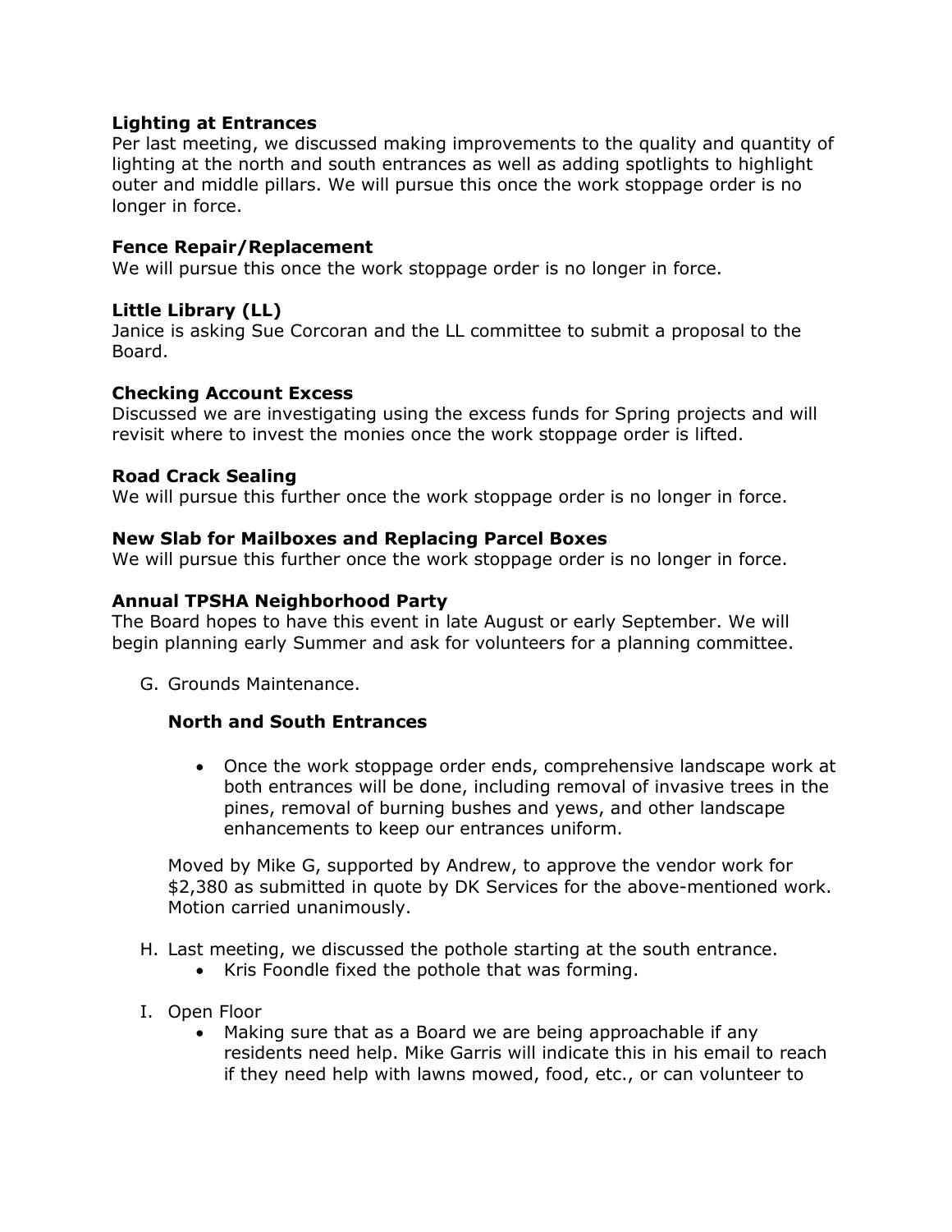### **Lighting at Entrances**

Per last meeting, we discussed making improvements to the quality and quantity of lighting at the north and south entrances as well as adding spotlights to highlight outer and middle pillars. We will pursue this once the work stoppage order is no longer in force.

## **Fence Repair/Replacement**

We will pursue this once the work stoppage order is no longer in force.

## **Little Library (LL)**

Janice is asking Sue Corcoran and the LL committee to submit a proposal to the Board.

#### **Checking Account Excess**

Discussed we are investigating using the excess funds for Spring projects and will revisit where to invest the monies once the work stoppage order is lifted.

## **Road Crack Sealing**

We will pursue this further once the work stoppage order is no longer in force.

#### **New Slab for Mailboxes and Replacing Parcel Boxes**

We will pursue this further once the work stoppage order is no longer in force.

## **Annual TPSHA Neighborhood Party**

The Board hopes to have this event in late August or early September. We will begin planning early Summer and ask for volunteers for a planning committee.

G. Grounds Maintenance.

# **North and South Entrances**

 Once the work stoppage order ends, comprehensive landscape work at both entrances will be done, including removal of invasive trees in the pines, removal of burning bushes and yews, and other landscape enhancements to keep our entrances uniform.

Moved by Mike G, supported by Andrew, to approve the vendor work for \$2,380 as submitted in quote by DK Services for the above-mentioned work. Motion carried unanimously.

- H. Last meeting, we discussed the pothole starting at the south entrance.
	- Kris Foondle fixed the pothole that was forming.
- I. Open Floor
	- Making sure that as a Board we are being approachable if any residents need help. Mike Garris will indicate this in his email to reach if they need help with lawns mowed, food, etc., or can volunteer to